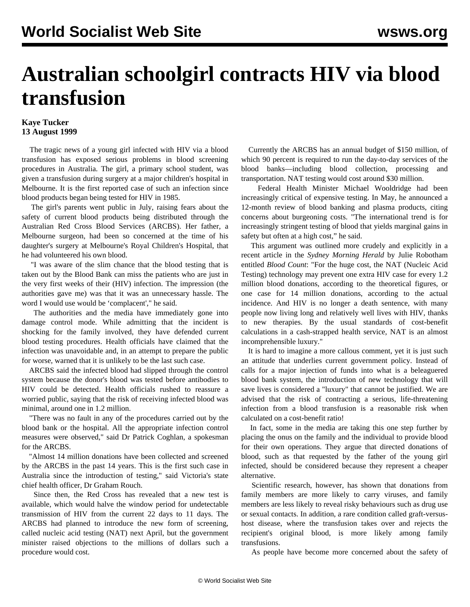## **Australian schoolgirl contracts HIV via blood transfusion**

## **Kaye Tucker 13 August 1999**

 The tragic news of a young girl infected with HIV via a blood transfusion has exposed serious problems in blood screening procedures in Australia. The girl, a primary school student, was given a transfusion during surgery at a major children's hospital in Melbourne. It is the first reported case of such an infection since blood products began being tested for HIV in 1985.

 The girl's parents went public in July, raising fears about the safety of current blood products being distributed through the Australian Red Cross Blood Services (ARCBS). Her father, a Melbourne surgeon, had been so concerned at the time of his daughter's surgery at Melbourne's Royal Children's Hospital, that he had volunteered his own blood.

 "I was aware of the slim chance that the blood testing that is taken out by the Blood Bank can miss the patients who are just in the very first weeks of their (HIV) infection. The impression (the authorities gave me) was that it was an unnecessary hassle. The word I would use would be 'complacent'," he said.

 The authorities and the media have immediately gone into damage control mode. While admitting that the incident is shocking for the family involved, they have defended current blood testing procedures. Health officials have claimed that the infection was unavoidable and, in an attempt to prepare the public for worse, warned that it is unlikely to be the last such case.

 ARCBS said the infected blood had slipped through the control system because the donor's blood was tested before antibodies to HIV could be detected. Health officials rushed to reassure a worried public, saying that the risk of receiving infected blood was minimal, around one in 1.2 million.

 "There was no fault in any of the procedures carried out by the blood bank or the hospital. All the appropriate infection control measures were observed," said Dr Patrick Coghlan, a spokesman for the ARCBS.

 "Almost 14 million donations have been collected and screened by the ARCBS in the past 14 years. This is the first such case in Australia since the introduction of testing," said Victoria's state chief health officer, Dr Graham Rouch.

 Since then, the Red Cross has revealed that a new test is available, which would halve the window period for undetectable transmission of HIV from the current 22 days to 11 days. The ARCBS had planned to introduce the new form of screening, called nucleic acid testing (NAT) next April, but the government minister raised objections to the millions of dollars such a procedure would cost.

 Currently the ARCBS has an annual budget of \$150 million, of which 90 percent is required to run the day-to-day services of the blood banks—including blood collection, processing and transportation. NAT testing would cost around \$30 million.

 Federal Health Minister Michael Wooldridge had been increasingly critical of expensive testing. In May, he announced a 12-month review of blood banking and plasma products, citing concerns about burgeoning costs. "The international trend is for increasingly stringent testing of blood that yields marginal gains in safety but often at a high cost," he said.

 This argument was outlined more crudely and explicitly in a recent article in the *Sydney Morning Herald* by Julie Robotham entitled *Blood Count*: "For the huge cost, the NAT (Nucleic Acid Testing) technology may prevent one extra HIV case for every 1.2 million blood donations, according to the theoretical figures, or one case for 14 million donations, according to the actual incidence. And HIV is no longer a death sentence, with many people now living long and relatively well lives with HIV, thanks to new therapies. By the usual standards of cost-benefit calculations in a cash-strapped health service, NAT is an almost incomprehensible luxury."

 It is hard to imagine a more callous comment, yet it is just such an attitude that underlies current government policy. Instead of calls for a major injection of funds into what is a beleaguered blood bank system, the introduction of new technology that will save lives is considered a "luxury" that cannot be justified. We are advised that the risk of contracting a serious, life-threatening infection from a blood transfusion is a reasonable risk when calculated on a cost-benefit ratio!

 In fact, some in the media are taking this one step further by placing the onus on the family and the individual to provide blood for their own operations. They argue that directed donations of blood, such as that requested by the father of the young girl infected, should be considered because they represent a cheaper alternative.

 Scientific research, however, has shown that donations from family members are more likely to carry viruses, and family members are less likely to reveal risky behaviours such as drug use or sexual contacts. In addition, a rare condition called graft-versushost disease, where the transfusion takes over and rejects the recipient's original blood, is more likely among family transfusions.

As people have become more concerned about the safety of